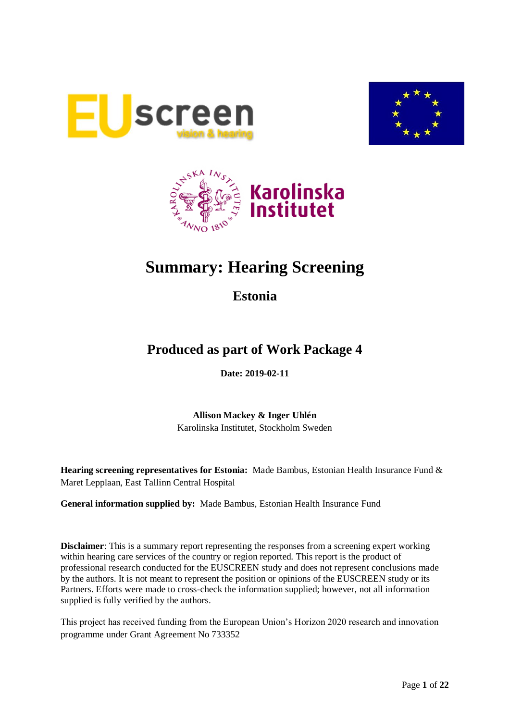





# **Summary: Hearing Screening**

**Estonia**

## **Produced as part of Work Package 4**

**Date: 2019-02-11**

**Allison Mackey & Inger Uhlén** Karolinska Institutet, Stockholm Sweden

**Hearing screening representatives for Estonia:** Made Bambus, Estonian Health Insurance Fund & Maret Lepplaan, East Tallinn Central Hospital

**General information supplied by:** Made Bambus, Estonian Health Insurance Fund

**Disclaimer**: This is a summary report representing the responses from a screening expert working within hearing care services of the country or region reported. This report is the product of professional research conducted for the EUSCREEN study and does not represent conclusions made by the authors. It is not meant to represent the position or opinions of the EUSCREEN study or its Partners. Efforts were made to cross-check the information supplied; however, not all information supplied is fully verified by the authors.

This project has received funding from the European Union's Horizon 2020 research and innovation programme under Grant Agreement No 733352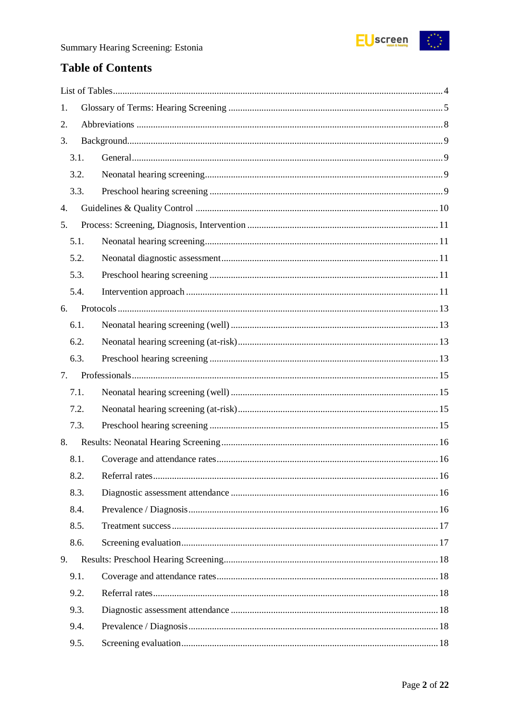

## **Table of Contents**

| 1.   |  |  |
|------|--|--|
| 2.   |  |  |
| 3.   |  |  |
| 3.1. |  |  |
| 3.2. |  |  |
| 3.3. |  |  |
| 4.   |  |  |
| 5.   |  |  |
| 5.1. |  |  |
| 5.2. |  |  |
| 5.3. |  |  |
| 5.4. |  |  |
| 6.   |  |  |
| 6.1. |  |  |
| 6.2. |  |  |
| 6.3. |  |  |
| 7.   |  |  |
| 7.1. |  |  |
|      |  |  |
| 7.2. |  |  |
| 7.3. |  |  |
| 8.   |  |  |
| 8.1. |  |  |
| 8.2. |  |  |
| 8.3. |  |  |
| 8.4. |  |  |
| 8.5. |  |  |
| 8.6. |  |  |
| 9.   |  |  |
| 9.1. |  |  |
| 9.2. |  |  |
| 9.3. |  |  |
| 9.4. |  |  |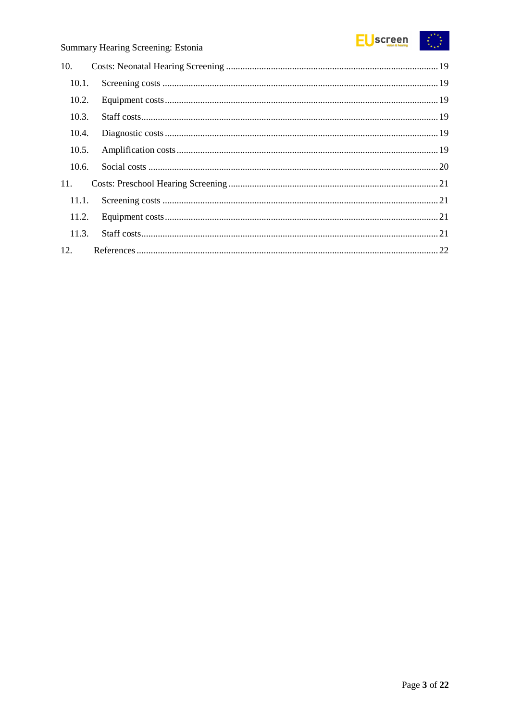

| 10.   |  |
|-------|--|
| 10.1. |  |
| 10.2. |  |
| 10.3. |  |
| 10.4. |  |
| 10.5. |  |
| 10.6. |  |
| 11.   |  |
| 11.1. |  |
| 11.2. |  |
| 11.3. |  |
| 12.   |  |
|       |  |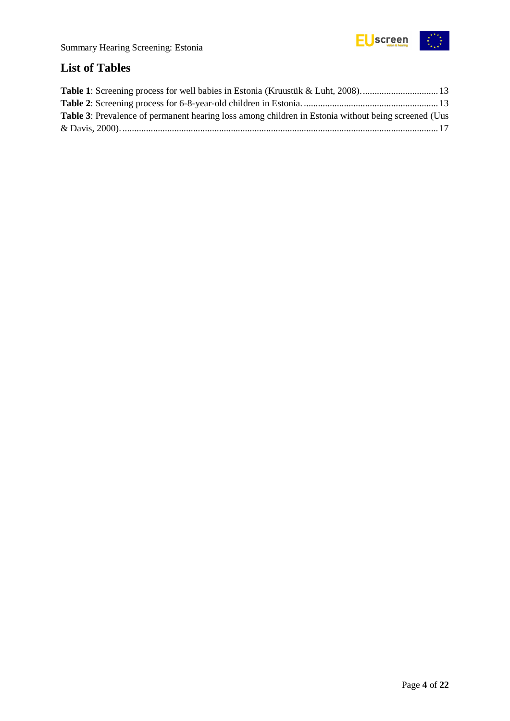

## <span id="page-3-0"></span>**List of Tables**

| <b>Table 3:</b> Prevalence of permanent hearing loss among children in Estonia without being screened (Uus |  |
|------------------------------------------------------------------------------------------------------------|--|
|                                                                                                            |  |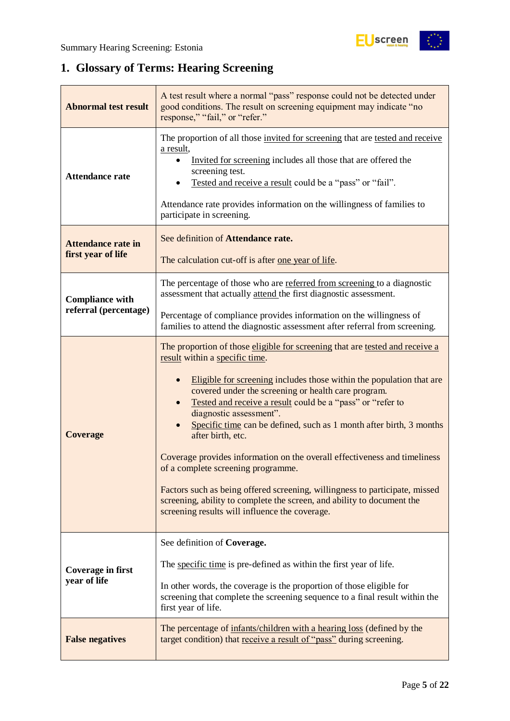## <span id="page-4-0"></span>**1. Glossary of Terms: Hearing Screening**

| <b>Abnormal test result</b>                     | A test result where a normal "pass" response could not be detected under<br>good conditions. The result on screening equipment may indicate "no<br>response," "fail," or "refer."                                                                                                                                                                                                                                                                                                                                                                                                                                                                                                                                                                                |  |  |  |
|-------------------------------------------------|------------------------------------------------------------------------------------------------------------------------------------------------------------------------------------------------------------------------------------------------------------------------------------------------------------------------------------------------------------------------------------------------------------------------------------------------------------------------------------------------------------------------------------------------------------------------------------------------------------------------------------------------------------------------------------------------------------------------------------------------------------------|--|--|--|
| <b>Attendance rate</b>                          | The proportion of all those invited for screening that are tested and receive<br>a result,<br>Invited for screening includes all those that are offered the<br>screening test.<br>Tested and receive a result could be a "pass" or "fail".<br>Attendance rate provides information on the willingness of families to<br>participate in screening.                                                                                                                                                                                                                                                                                                                                                                                                                |  |  |  |
| <b>Attendance rate in</b><br>first year of life | See definition of Attendance rate.<br>The calculation cut-off is after <u>one year of life</u> .                                                                                                                                                                                                                                                                                                                                                                                                                                                                                                                                                                                                                                                                 |  |  |  |
| <b>Compliance with</b>                          | The percentage of those who are referred from screening to a diagnostic<br>assessment that actually attend the first diagnostic assessment.                                                                                                                                                                                                                                                                                                                                                                                                                                                                                                                                                                                                                      |  |  |  |
| referral (percentage)                           | Percentage of compliance provides information on the willingness of<br>families to attend the diagnostic assessment after referral from screening.                                                                                                                                                                                                                                                                                                                                                                                                                                                                                                                                                                                                               |  |  |  |
| <b>Coverage</b>                                 | The proportion of those eligible for screening that are tested and receive a<br>result within a specific time.<br>Eligible for screening includes those within the population that are<br>covered under the screening or health care program.<br>Tested and receive a result could be a "pass" or "refer to<br>diagnostic assessment".<br>Specific time can be defined, such as 1 month after birth, 3 months<br>after birth, etc.<br>Coverage provides information on the overall effectiveness and timeliness<br>of a complete screening programme.<br>Factors such as being offered screening, willingness to participate, missed<br>screening, ability to complete the screen, and ability to document the<br>screening results will influence the coverage. |  |  |  |
| <b>Coverage in first</b><br>year of life        | See definition of Coverage.<br>The specific time is pre-defined as within the first year of life.<br>In other words, the coverage is the proportion of those eligible for<br>screening that complete the screening sequence to a final result within the<br>first year of life.                                                                                                                                                                                                                                                                                                                                                                                                                                                                                  |  |  |  |
| <b>False negatives</b>                          | The percentage of infants/children with a hearing loss (defined by the<br>target condition) that receive a result of "pass" during screening.                                                                                                                                                                                                                                                                                                                                                                                                                                                                                                                                                                                                                    |  |  |  |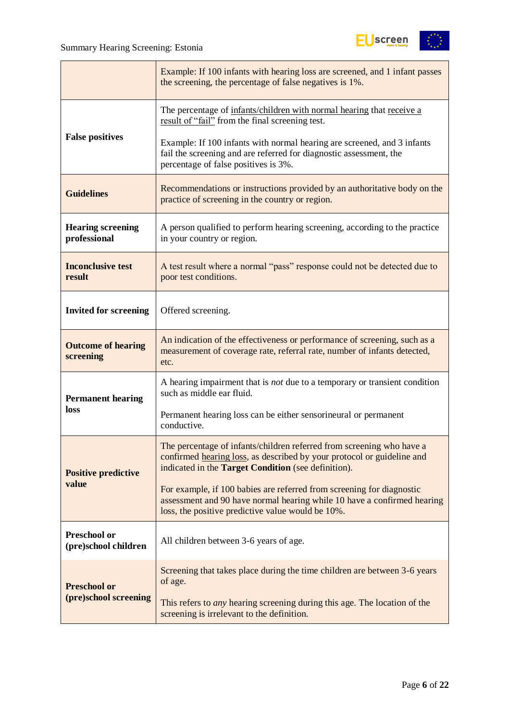

|                                          | Example: If 100 infants with hearing loss are screened, and 1 infant passes<br>the screening, the percentage of false negatives is 1%.                                                                        |  |  |  |  |
|------------------------------------------|---------------------------------------------------------------------------------------------------------------------------------------------------------------------------------------------------------------|--|--|--|--|
|                                          | The percentage of infants/children with normal hearing that receive a<br>result of "fail" from the final screening test.                                                                                      |  |  |  |  |
| <b>False positives</b>                   | Example: If 100 infants with normal hearing are screened, and 3 infants<br>fail the screening and are referred for diagnostic assessment, the<br>percentage of false positives is 3%.                         |  |  |  |  |
| <b>Guidelines</b>                        | Recommendations or instructions provided by an authoritative body on the<br>practice of screening in the country or region.                                                                                   |  |  |  |  |
| <b>Hearing screening</b><br>professional | A person qualified to perform hearing screening, according to the practice<br>in your country or region.                                                                                                      |  |  |  |  |
| <b>Inconclusive test</b><br>result       | A test result where a normal "pass" response could not be detected due to<br>poor test conditions.                                                                                                            |  |  |  |  |
| <b>Invited for screening</b>             | Offered screening.                                                                                                                                                                                            |  |  |  |  |
| <b>Outcome of hearing</b><br>screening   | An indication of the effectiveness or performance of screening, such as a<br>measurement of coverage rate, referral rate, number of infants detected,<br>etc.                                                 |  |  |  |  |
| <b>Permanent hearing</b>                 | A hearing impairment that is <i>not</i> due to a temporary or transient condition<br>such as middle ear fluid.                                                                                                |  |  |  |  |
| <b>loss</b>                              | Permanent hearing loss can be either sensorineural or permanent<br>conductive.                                                                                                                                |  |  |  |  |
| <b>Positive predictive</b>               | The percentage of infants/children referred from screening who have a<br>confirmed hearing loss, as described by your protocol or guideline and<br>indicated in the <b>Target Condition</b> (see definition). |  |  |  |  |
| value                                    | For example, if 100 babies are referred from screening for diagnostic<br>assessment and 90 have normal hearing while 10 have a confirmed hearing<br>loss, the positive predictive value would be 10%.         |  |  |  |  |
| Preschool or<br>(pre)school children     | All children between 3-6 years of age.                                                                                                                                                                        |  |  |  |  |
| <b>Preschool or</b>                      | Screening that takes place during the time children are between 3-6 years<br>of age.                                                                                                                          |  |  |  |  |
| (pre)school screening                    | This refers to <i>any</i> hearing screening during this age. The location of the<br>screening is irrelevant to the definition.                                                                                |  |  |  |  |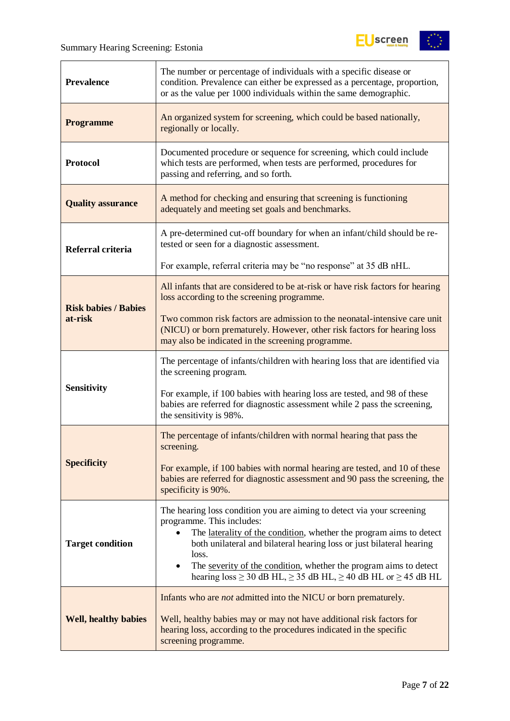$\overline{r}$ 



| <b>Prevalence</b>           | The number or percentage of individuals with a specific disease or<br>condition. Prevalence can either be expressed as a percentage, proportion,<br>or as the value per 1000 individuals within the same demographic.                                           |  |  |  |  |
|-----------------------------|-----------------------------------------------------------------------------------------------------------------------------------------------------------------------------------------------------------------------------------------------------------------|--|--|--|--|
| <b>Programme</b>            | An organized system for screening, which could be based nationally,<br>regionally or locally.                                                                                                                                                                   |  |  |  |  |
| <b>Protocol</b>             | Documented procedure or sequence for screening, which could include<br>which tests are performed, when tests are performed, procedures for<br>passing and referring, and so forth.                                                                              |  |  |  |  |
| <b>Quality assurance</b>    | A method for checking and ensuring that screening is functioning<br>adequately and meeting set goals and benchmarks.                                                                                                                                            |  |  |  |  |
| Referral criteria           | A pre-determined cut-off boundary for when an infant/child should be re-<br>tested or seen for a diagnostic assessment.                                                                                                                                         |  |  |  |  |
|                             | For example, referral criteria may be "no response" at 35 dB nHL.                                                                                                                                                                                               |  |  |  |  |
| <b>Risk babies / Babies</b> | All infants that are considered to be at-risk or have risk factors for hearing<br>loss according to the screening programme.                                                                                                                                    |  |  |  |  |
| at-risk                     | Two common risk factors are admission to the neonatal-intensive care unit<br>(NICU) or born prematurely. However, other risk factors for hearing loss<br>may also be indicated in the screening programme.                                                      |  |  |  |  |
|                             | The percentage of infants/children with hearing loss that are identified via<br>the screening program.                                                                                                                                                          |  |  |  |  |
| <b>Sensitivity</b>          | For example, if 100 babies with hearing loss are tested, and 98 of these<br>babies are referred for diagnostic assessment while 2 pass the screening,<br>the sensitivity is 98%.                                                                                |  |  |  |  |
|                             | The percentage of infants/children with normal hearing that pass the<br>screening.                                                                                                                                                                              |  |  |  |  |
| <b>Specificity</b>          | For example, if 100 babies with normal hearing are tested, and 10 of these<br>babies are referred for diagnostic assessment and 90 pass the screening, the<br>specificity is 90%.                                                                               |  |  |  |  |
| <b>Target condition</b>     | The hearing loss condition you are aiming to detect via your screening<br>programme. This includes:<br>The laterality of the condition, whether the program aims to detect<br>$\bullet$<br>both unilateral and bilateral hearing loss or just bilateral hearing |  |  |  |  |
|                             | loss.<br>The severity of the condition, whether the program aims to detect<br>$\bullet$<br>hearing $loss \ge 30$ dB HL, $\ge 35$ dB HL, $\ge 40$ dB HL or $\ge 45$ dB HL                                                                                        |  |  |  |  |
|                             | Infants who are <i>not</i> admitted into the NICU or born prematurely.                                                                                                                                                                                          |  |  |  |  |
| <b>Well, healthy babies</b> | Well, healthy babies may or may not have additional risk factors for<br>hearing loss, according to the procedures indicated in the specific<br>screening programme.                                                                                             |  |  |  |  |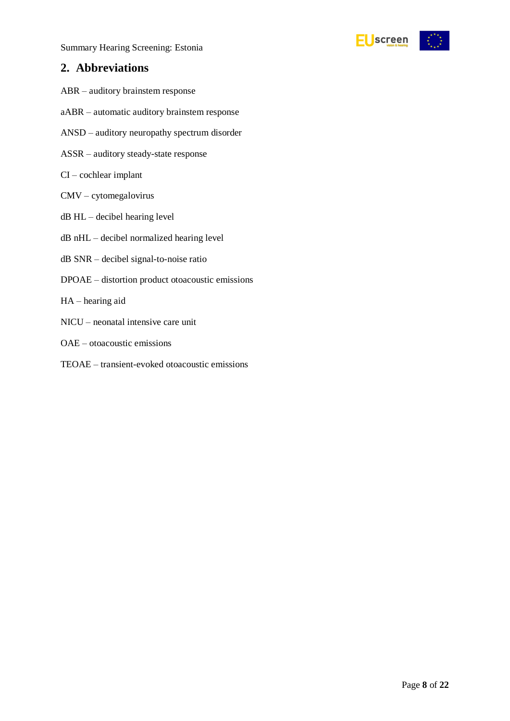Summary Hearing Screening: Estonia

## <span id="page-7-0"></span>**2. Abbreviations**

- ABR auditory brainstem response
- aABR automatic auditory brainstem response
- ANSD auditory neuropathy spectrum disorder
- ASSR auditory steady-state response
- CI cochlear implant
- CMV cytomegalovirus
- dB HL decibel hearing level
- dB nHL decibel normalized hearing level
- dB SNR decibel signal-to-noise ratio
- DPOAE distortion product otoacoustic emissions
- HA hearing aid
- NICU neonatal intensive care unit
- OAE otoacoustic emissions
- TEOAE transient-evoked otoacoustic emissions

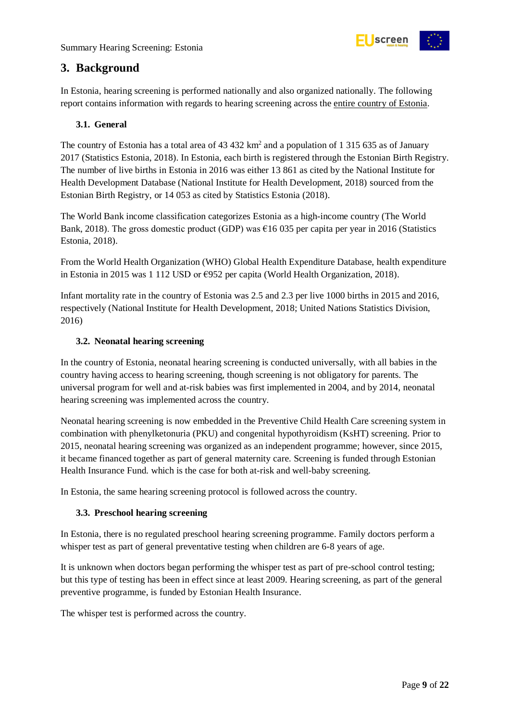

## <span id="page-8-0"></span>**3. Background**

In Estonia, hearing screening is performed nationally and also organized nationally. The following report contains information with regards to hearing screening across the entire country of Estonia.

#### <span id="page-8-1"></span>**3.1. General**

The country of Estonia has a total area of  $43\,432\ \mathrm{km^2}$  and a population of 1 315 635 as of January 2017 (Statistics Estonia, 2018). In Estonia, each birth is registered through the Estonian Birth Registry. The number of live births in Estonia in 2016 was either 13 861 as cited by the National Institute for Health Development Database (National Institute for Health Development, 2018) sourced from the Estonian Birth Registry, or 14 053 as cited by Statistics Estonia (2018).

The World Bank income classification categorizes Estonia as a high-income country (The World Bank, 2018). The gross domestic product (GDP) was  $\epsilon$ 16 035 per capita per year in 2016 (Statistics Estonia, 2018).

From the World Health Organization (WHO) Global Health Expenditure Database, health expenditure in Estonia in 2015 was 1 112 USD or €952 per capita (World Health Organization, 2018).

Infant mortality rate in the country of Estonia was 2.5 and 2.3 per live 1000 births in 2015 and 2016, respectively (National Institute for Health Development, 2018; United Nations Statistics Division, 2016)

#### <span id="page-8-2"></span>**3.2. Neonatal hearing screening**

In the country of Estonia, neonatal hearing screening is conducted universally, with all babies in the country having access to hearing screening, though screening is not obligatory for parents. The universal program for well and at-risk babies was first implemented in 2004, and by 2014, neonatal hearing screening was implemented across the country.

Neonatal hearing screening is now embedded in the Preventive Child Health Care screening system in combination with phenylketonuria (PKU) and congenital hypothyroidism (KsHT) screening. Prior to 2015, neonatal hearing screening was organized as an independent programme; however, since 2015, it became financed together as part of general maternity care. Screening is funded through Estonian Health Insurance Fund. which is the case for both at-risk and well-baby screening.

In Estonia, the same hearing screening protocol is followed across the country.

#### <span id="page-8-3"></span>**3.3. Preschool hearing screening**

In Estonia, there is no regulated preschool hearing screening programme. Family doctors perform a whisper test as part of general preventative testing when children are 6-8 years of age.

It is unknown when doctors began performing the whisper test as part of pre-school control testing; but this type of testing has been in effect since at least 2009. Hearing screening, as part of the general preventive programme, is funded by Estonian Health Insurance.

The whisper test is performed across the country.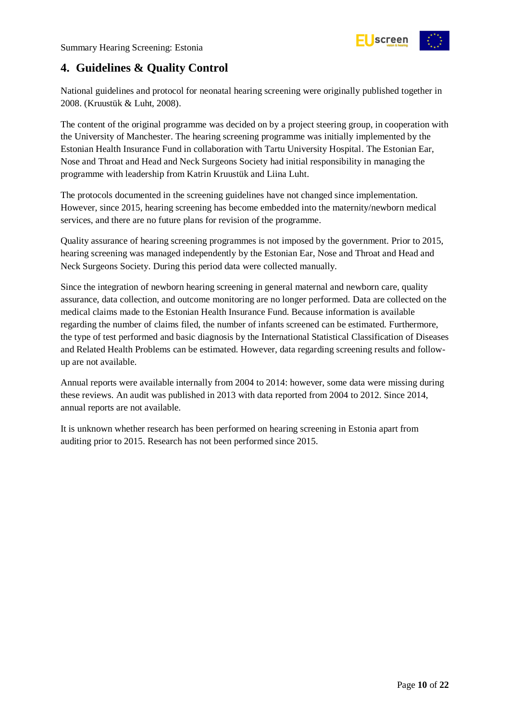

## <span id="page-9-0"></span>**4. Guidelines & Quality Control**

National guidelines and protocol for neonatal hearing screening were originally published together in 2008. (Kruustük & Luht, 2008).

The content of the original programme was decided on by a project steering group, in cooperation with the University of Manchester. The hearing screening programme was initially implemented by the Estonian Health Insurance Fund in collaboration with Tartu University Hospital. The Estonian Ear, Nose and Throat and Head and Neck Surgeons Society had initial responsibility in managing the programme with leadership from Katrin Kruustük and Liina Luht.

The protocols documented in the screening guidelines have not changed since implementation. However, since 2015, hearing screening has become embedded into the maternity/newborn medical services, and there are no future plans for revision of the programme.

Quality assurance of hearing screening programmes is not imposed by the government. Prior to 2015, hearing screening was managed independently by the Estonian Ear, Nose and Throat and Head and Neck Surgeons Society. During this period data were collected manually.

Since the integration of newborn hearing screening in general maternal and newborn care, quality assurance, data collection, and outcome monitoring are no longer performed. Data are collected on the medical claims made to the Estonian Health Insurance Fund. Because information is available regarding the number of claims filed, the number of infants screened can be estimated. Furthermore, the type of test performed and basic diagnosis by the International Statistical Classification of Diseases and Related Health Problems can be estimated. However, data regarding screening results and followup are not available.

Annual reports were available internally from 2004 to 2014: however, some data were missing during these reviews. An audit was published in 2013 with data reported from 2004 to 2012. Since 2014, annual reports are not available.

It is unknown whether research has been performed on hearing screening in Estonia apart from auditing prior to 2015. Research has not been performed since 2015.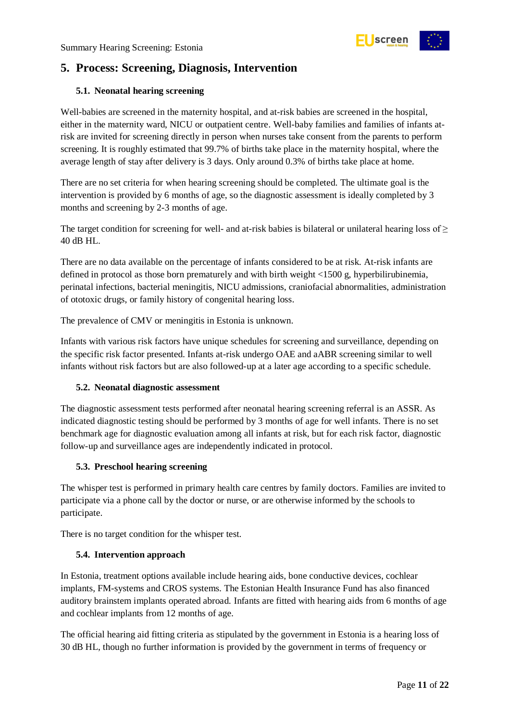

## <span id="page-10-0"></span>**5. Process: Screening, Diagnosis, Intervention**

#### <span id="page-10-1"></span>**5.1. Neonatal hearing screening**

Well-babies are screened in the maternity hospital, and at-risk babies are screened in the hospital, either in the maternity ward, NICU or outpatient centre. Well-baby families and families of infants atrisk are invited for screening directly in person when nurses take consent from the parents to perform screening. It is roughly estimated that 99.7% of births take place in the maternity hospital, where the average length of stay after delivery is 3 days. Only around 0.3% of births take place at home.

There are no set criteria for when hearing screening should be completed. The ultimate goal is the intervention is provided by 6 months of age, so the diagnostic assessment is ideally completed by 3 months and screening by 2-3 months of age.

The target condition for screening for well- and at-risk babies is bilateral or unilateral hearing loss of  $\geq$ 40 dB HL.

There are no data available on the percentage of infants considered to be at risk. At-risk infants are defined in protocol as those born prematurely and with birth weight <1500 g, hyperbilirubinemia, perinatal infections, bacterial meningitis, NICU admissions, craniofacial abnormalities, administration of ototoxic drugs, or family history of congenital hearing loss.

The prevalence of CMV or meningitis in Estonia is unknown.

Infants with various risk factors have unique schedules for screening and surveillance, depending on the specific risk factor presented. Infants at-risk undergo OAE and aABR screening similar to well infants without risk factors but are also followed-up at a later age according to a specific schedule.

#### <span id="page-10-2"></span>**5.2. Neonatal diagnostic assessment**

The diagnostic assessment tests performed after neonatal hearing screening referral is an ASSR. As indicated diagnostic testing should be performed by 3 months of age for well infants. There is no set benchmark age for diagnostic evaluation among all infants at risk, but for each risk factor, diagnostic follow-up and surveillance ages are independently indicated in protocol.

#### <span id="page-10-3"></span>**5.3. Preschool hearing screening**

The whisper test is performed in primary health care centres by family doctors. Families are invited to participate via a phone call by the doctor or nurse, or are otherwise informed by the schools to participate.

There is no target condition for the whisper test.

#### <span id="page-10-4"></span>**5.4. Intervention approach**

In Estonia, treatment options available include hearing aids, bone conductive devices, cochlear implants, FM-systems and CROS systems. The Estonian Health Insurance Fund has also financed auditory brainstem implants operated abroad. Infants are fitted with hearing aids from 6 months of age and cochlear implants from 12 months of age.

The official hearing aid fitting criteria as stipulated by the government in Estonia is a hearing loss of 30 dB HL, though no further information is provided by the government in terms of frequency or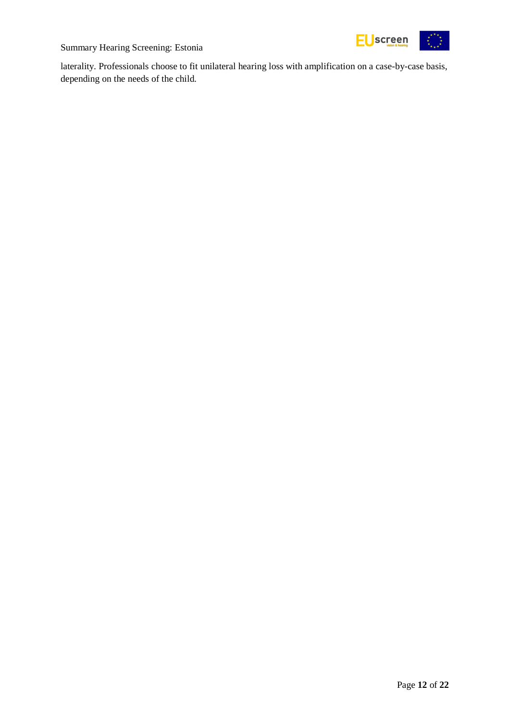



laterality. Professionals choose to fit unilateral hearing loss with amplification on a case-by-case basis, depending on the needs of the child.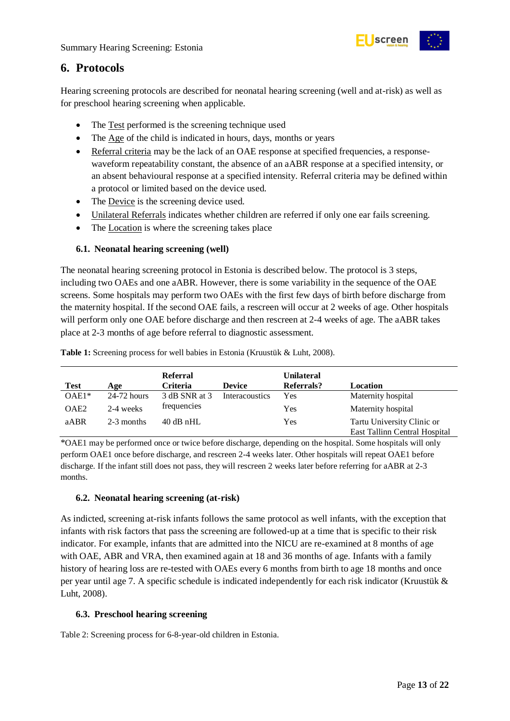

## <span id="page-12-0"></span>**6. Protocols**

Hearing screening protocols are described for neonatal hearing screening (well and at-risk) as well as for preschool hearing screening when applicable.

- The Test performed is the screening technique used
- The Age of the child is indicated in hours, days, months or years
- Referral criteria may be the lack of an OAE response at specified frequencies, a responsewaveform repeatability constant, the absence of an aABR response at a specified intensity, or an absent behavioural response at a specified intensity. Referral criteria may be defined within a protocol or limited based on the device used.
- The Device is the screening device used.
- Unilateral Referrals indicates whether children are referred if only one ear fails screening.
- The Location is where the screening takes place

#### <span id="page-12-1"></span>**6.1. Neonatal hearing screening (well)**

The neonatal hearing screening protocol in Estonia is described below. The protocol is 3 steps, including two OAEs and one aABR. However, there is some variability in the sequence of the OAE screens. Some hospitals may perform two OAEs with the first few days of birth before discharge from the maternity hospital. If the second OAE fails, a rescreen will occur at 2 weeks of age. Other hospitals will perform only one OAE before discharge and then rescreen at 2-4 weeks of age. The aABR takes place at 2-3 months of age before referral to diagnostic assessment.

|                  |               | <b>Referral</b> |                | <b>Unilateral</b> |                                                             |
|------------------|---------------|-----------------|----------------|-------------------|-------------------------------------------------------------|
| <b>Test</b>      | Age           | <b>Criteria</b> | <b>Device</b>  | Referrals?        | Location                                                    |
| $OAE1*$          | $24-72$ hours | 3 dB SNR at 3   | Interacoustics | Yes               | Maternity hospital                                          |
| OAE <sub>2</sub> | 2-4 weeks     | frequencies     |                | Yes               | Maternity hospital                                          |
| aABR             | 2-3 months    | $40$ dB nHL     |                | Yes               | Tartu University Clinic or<br>East Tallinn Central Hospital |

<span id="page-12-4"></span>**Table 1:** Screening process for well babies in Estonia (Kruustük & Luht, 2008).

\*OAE1 may be performed once or twice before discharge, depending on the hospital. Some hospitals will only perform OAE1 once before discharge, and rescreen 2-4 weeks later. Other hospitals will repeat OAE1 before discharge. If the infant still does not pass, they will rescreen 2 weeks later before referring for aABR at 2-3 months.

#### <span id="page-12-2"></span>**6.2. Neonatal hearing screening (at-risk)**

As indicted, screening at-risk infants follows the same protocol as well infants, with the exception that infants with risk factors that pass the screening are followed-up at a time that is specific to their risk indicator. For example, infants that are admitted into the NICU are re-examined at 8 months of age with OAE, ABR and VRA, then examined again at 18 and 36 months of age. Infants with a family history of hearing loss are re-tested with OAEs every 6 months from birth to age 18 months and once per year until age 7. A specific schedule is indicated independently for each risk indicator (Kruustük & Luht, 2008).

#### <span id="page-12-3"></span>**6.3. Preschool hearing screening**

<span id="page-12-5"></span>Table 2: Screening process for 6-8-year-old children in Estonia.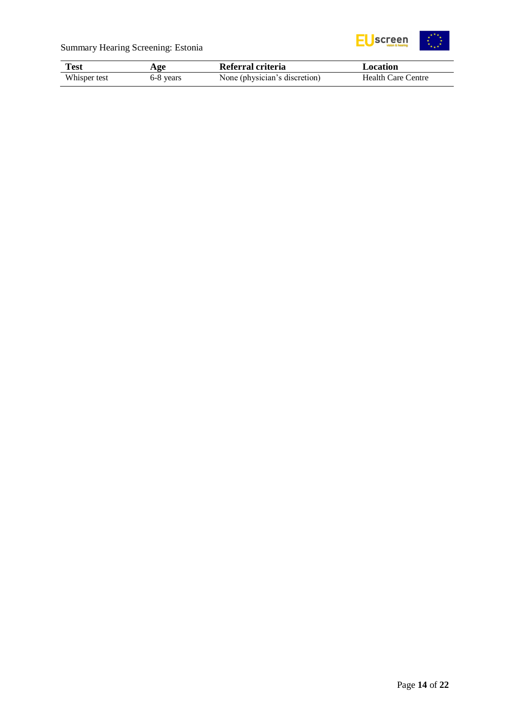



| Test         | Age       | Referral criteria             | Location                  |  |
|--------------|-----------|-------------------------------|---------------------------|--|
| Whisper test | 6-8 years | None (physician's discretion) | <b>Health Care Centre</b> |  |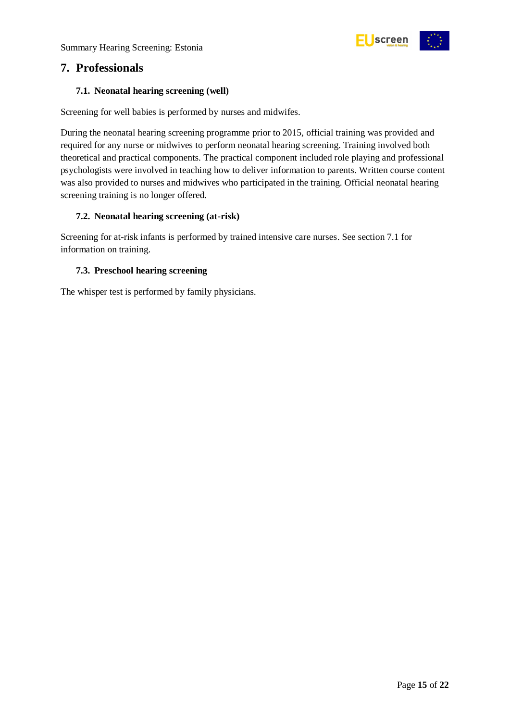Summary Hearing Screening: Estonia



### <span id="page-14-0"></span>**7. Professionals**

#### <span id="page-14-1"></span>**7.1. Neonatal hearing screening (well)**

Screening for well babies is performed by nurses and midwifes.

During the neonatal hearing screening programme prior to 2015, official training was provided and required for any nurse or midwives to perform neonatal hearing screening. Training involved both theoretical and practical components. The practical component included role playing and professional psychologists were involved in teaching how to deliver information to parents. Written course content was also provided to nurses and midwives who participated in the training. Official neonatal hearing screening training is no longer offered.

#### <span id="page-14-2"></span>**7.2. Neonatal hearing screening (at-risk)**

Screening for at-risk infants is performed by trained intensive care nurses. See section 7.1 for information on training.

#### <span id="page-14-3"></span>**7.3. Preschool hearing screening**

The whisper test is performed by family physicians.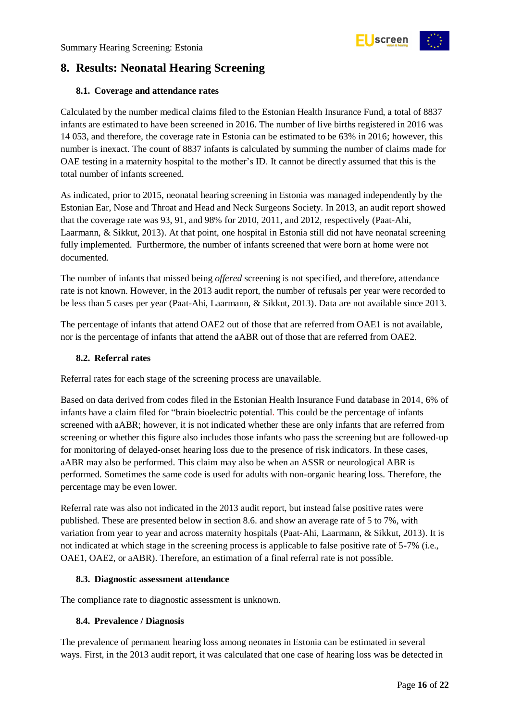

## <span id="page-15-0"></span>**8. Results: Neonatal Hearing Screening**

#### <span id="page-15-1"></span>**8.1. Coverage and attendance rates**

Calculated by the number medical claims filed to the Estonian Health Insurance Fund, a total of 8837 infants are estimated to have been screened in 2016. The number of live births registered in 2016 was 14 053, and therefore, the coverage rate in Estonia can be estimated to be 63% in 2016; however, this number is inexact. The count of 8837 infants is calculated by summing the number of claims made for OAE testing in a maternity hospital to the mother's ID. It cannot be directly assumed that this is the total number of infants screened.

As indicated, prior to 2015, neonatal hearing screening in Estonia was managed independently by the Estonian Ear, Nose and Throat and Head and Neck Surgeons Society. In 2013, an audit report showed that the coverage rate was 93, 91, and 98% for 2010, 2011, and 2012, respectively (Paat-Ahi, Laarmann, & Sikkut, 2013). At that point, one hospital in Estonia still did not have neonatal screening fully implemented. Furthermore, the number of infants screened that were born at home were not documented.

The number of infants that missed being *offered* screening is not specified, and therefore, attendance rate is not known. However, in the 2013 audit report, the number of refusals per year were recorded to be less than 5 cases per year (Paat-Ahi, Laarmann, & Sikkut, 2013). Data are not available since 2013.

The percentage of infants that attend OAE2 out of those that are referred from OAE1 is not available, nor is the percentage of infants that attend the aABR out of those that are referred from OAE2.

#### <span id="page-15-2"></span>**8.2. Referral rates**

Referral rates for each stage of the screening process are unavailable.

Based on data derived from codes filed in the Estonian Health Insurance Fund database in 2014, 6% of infants have a claim filed for "brain bioelectric potential. This could be the percentage of infants screened with aABR; however, it is not indicated whether these are only infants that are referred from screening or whether this figure also includes those infants who pass the screening but are followed-up for monitoring of delayed-onset hearing loss due to the presence of risk indicators. In these cases, aABR may also be performed. This claim may also be when an ASSR or neurological ABR is performed. Sometimes the same code is used for adults with non-organic hearing loss. Therefore, the percentage may be even lower.

Referral rate was also not indicated in the 2013 audit report, but instead false positive rates were published. These are presented below in section 8.6. and show an average rate of 5 to 7%, with variation from year to year and across maternity hospitals (Paat-Ahi, Laarmann, & Sikkut, 2013). It is not indicated at which stage in the screening process is applicable to false positive rate of 5-7% (i.e., OAE1, OAE2, or aABR). Therefore, an estimation of a final referral rate is not possible.

#### <span id="page-15-3"></span>**8.3. Diagnostic assessment attendance**

The compliance rate to diagnostic assessment is unknown.

#### <span id="page-15-4"></span>**8.4. Prevalence / Diagnosis**

The prevalence of permanent hearing loss among neonates in Estonia can be estimated in several ways. First, in the 2013 audit report, it was calculated that one case of hearing loss was be detected in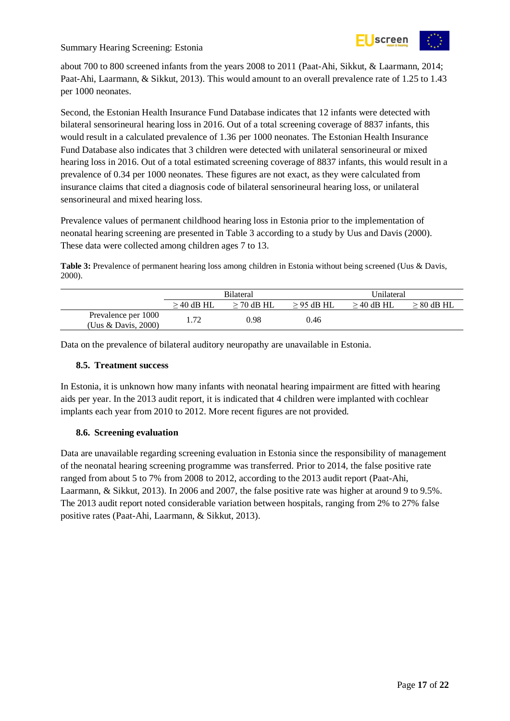

Summary Hearing Screening: Estonia

about 700 to 800 screened infants from the years 2008 to 2011 (Paat-Ahi, Sikkut, & Laarmann, 2014; Paat-Ahi, Laarmann, & Sikkut, 2013). This would amount to an overall prevalence rate of 1.25 to 1.43 per 1000 neonates.

Second, the Estonian Health Insurance Fund Database indicates that 12 infants were detected with bilateral sensorineural hearing loss in 2016. Out of a total screening coverage of 8837 infants, this would result in a calculated prevalence of 1.36 per 1000 neonates. The Estonian Health Insurance Fund Database also indicates that 3 children were detected with unilateral sensorineural or mixed hearing loss in 2016. Out of a total estimated screening coverage of 8837 infants, this would result in a prevalence of 0.34 per 1000 neonates. These figures are not exact, as they were calculated from insurance claims that cited a diagnosis code of bilateral sensorineural hearing loss, or unilateral sensorineural and mixed hearing loss.

Prevalence values of permanent childhood hearing loss in Estonia prior to the implementation of neonatal hearing screening are presented in [Table 3](#page-16-2) according to a study by Uus and Davis (2000). These data were collected among children ages 7 to 13.

<span id="page-16-2"></span>**Table 3:** Prevalence of permanent hearing loss among children in Estonia without being screened (Uus & Davis, 2000).

|                                            | <b>Bilateral</b> |              |              | Unilateral   |                 |
|--------------------------------------------|------------------|--------------|--------------|--------------|-----------------|
|                                            | $>$ 40 dB HL     | $>$ 70 dB HL | $>$ 95 dB HL | $>$ 40 dB HL | $\geq 80$ dB HL |
| Prevalence per 1000<br>(Uus & Davis, 2000) | -72              | 0.98         | 0.46         |              |                 |

Data on the prevalence of bilateral auditory neuropathy are unavailable in Estonia.

#### <span id="page-16-0"></span>**8.5. Treatment success**

In Estonia, it is unknown how many infants with neonatal hearing impairment are fitted with hearing aids per year. In the 2013 audit report, it is indicated that 4 children were implanted with cochlear implants each year from 2010 to 2012. More recent figures are not provided.

#### <span id="page-16-1"></span>**8.6. Screening evaluation**

Data are unavailable regarding screening evaluation in Estonia since the responsibility of management of the neonatal hearing screening programme was transferred. Prior to 2014, the false positive rate ranged from about 5 to 7% from 2008 to 2012, according to the 2013 audit report (Paat-Ahi, Laarmann, & Sikkut, 2013). In 2006 and 2007, the false positive rate was higher at around 9 to 9.5%. The 2013 audit report noted considerable variation between hospitals, ranging from 2% to 27% false positive rates (Paat-Ahi, Laarmann, & Sikkut, 2013).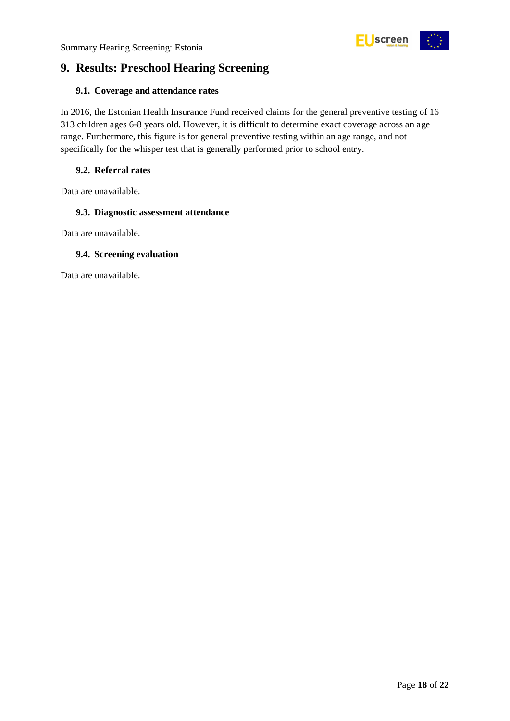

## <span id="page-17-0"></span>**9. Results: Preschool Hearing Screening**

#### <span id="page-17-1"></span>**9.1. Coverage and attendance rates**

In 2016, the Estonian Health Insurance Fund received claims for the general preventive testing of 16 313 children ages 6-8 years old. However, it is difficult to determine exact coverage across an age range. Furthermore, this figure is for general preventive testing within an age range, and not specifically for the whisper test that is generally performed prior to school entry.

#### <span id="page-17-2"></span>**9.2. Referral rates**

Data are unavailable.

#### <span id="page-17-3"></span>**9.3. Diagnostic assessment attendance**

Data are unavailable.

#### <span id="page-17-4"></span>**9.4. Screening evaluation**

Data are unavailable.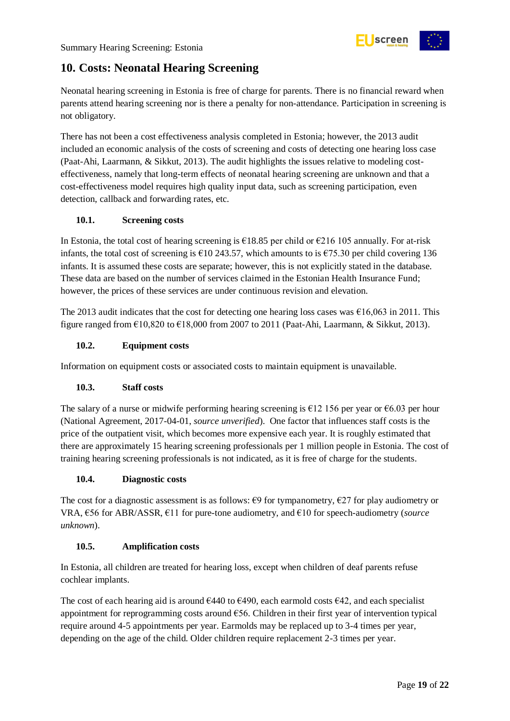

## <span id="page-18-0"></span>**10. Costs: Neonatal Hearing Screening**

Neonatal hearing screening in Estonia is free of charge for parents. There is no financial reward when parents attend hearing screening nor is there a penalty for non-attendance. Participation in screening is not obligatory.

There has not been a cost effectiveness analysis completed in Estonia; however, the 2013 audit included an economic analysis of the costs of screening and costs of detecting one hearing loss case (Paat-Ahi, Laarmann, & Sikkut, 2013). The audit highlights the issues relative to modeling costeffectiveness, namely that long-term effects of neonatal hearing screening are unknown and that a cost-effectiveness model requires high quality input data, such as screening participation, even detection, callback and forwarding rates, etc.

#### <span id="page-18-1"></span>**10.1. Screening costs**

In Estonia, the total cost of hearing screening is  $\epsilon$ 18.85 per child or  $\epsilon$ 216 105 annually. For at-risk infants, the total cost of screening is €10 243.57, which amounts to is €75.30 per child covering 136 infants. It is assumed these costs are separate; however, this is not explicitly stated in the database. These data are based on the number of services claimed in the Estonian Health Insurance Fund; however, the prices of these services are under continuous revision and elevation.

The 2013 audit indicates that the cost for detecting one hearing loss cases was  $\epsilon$ 16,063 in 2011. This figure ranged from  $\epsilon$ 10,820 to  $\epsilon$ 18,000 from 2007 to 2011 (Paat-Ahi, Laarmann, & Sikkut, 2013).

#### <span id="page-18-2"></span>**10.2. Equipment costs**

Information on equipment costs or associated costs to maintain equipment is unavailable.

#### <span id="page-18-3"></span>**10.3. Staff costs**

The salary of a nurse or midwife performing hearing screening is  $\epsilon$ 12 156 per year or  $\epsilon$ 6.03 per hour (National Agreement, 2017-04-01, *source unverified*). One factor that influences staff costs is the price of the outpatient visit, which becomes more expensive each year. It is roughly estimated that there are approximately 15 hearing screening professionals per 1 million people in Estonia. The cost of training hearing screening professionals is not indicated, as it is free of charge for the students.

#### <span id="page-18-4"></span>**10.4. Diagnostic costs**

The cost for a diagnostic assessment is as follows:  $\epsilon$ 9 for tympanometry,  $\epsilon$ 27 for play audiometry or VRA, €56 for ABR/ASSR, €11 for pure-tone audiometry, and €10 for speech-audiometry (*source unknown*).

#### <span id="page-18-5"></span>**10.5. Amplification costs**

In Estonia, all children are treated for hearing loss, except when children of deaf parents refuse cochlear implants.

The cost of each hearing aid is around  $6440$  to  $6490$ , each earmold costs  $642$ , and each specialist appointment for reprogramming costs around €56. Children in their first year of intervention typical require around 4-5 appointments per year. Earmolds may be replaced up to 3-4 times per year, depending on the age of the child. Older children require replacement 2-3 times per year.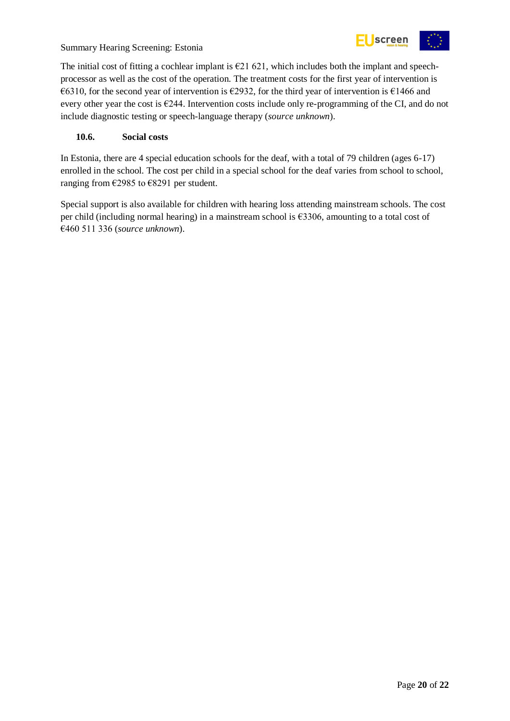



The initial cost of fitting a cochlear implant is  $E$  421 621, which includes both the implant and speechprocessor as well as the cost of the operation. The treatment costs for the first year of intervention is €6310, for the second year of intervention is €2932, for the third year of intervention is €1466 and every other year the cost is  $\epsilon$ 244. Intervention costs include only re-programming of the CI, and do not include diagnostic testing or speech-language therapy (*source unknown*).

#### <span id="page-19-0"></span>**10.6. Social costs**

In Estonia, there are 4 special education schools for the deaf, with a total of 79 children (ages 6-17) enrolled in the school. The cost per child in a special school for the deaf varies from school to school, ranging from €2985 to €8291 per student.

Special support is also available for children with hearing loss attending mainstream schools. The cost per child (including normal hearing) in a mainstream school is €3306, amounting to a total cost of €460 511 336 (*source unknown*).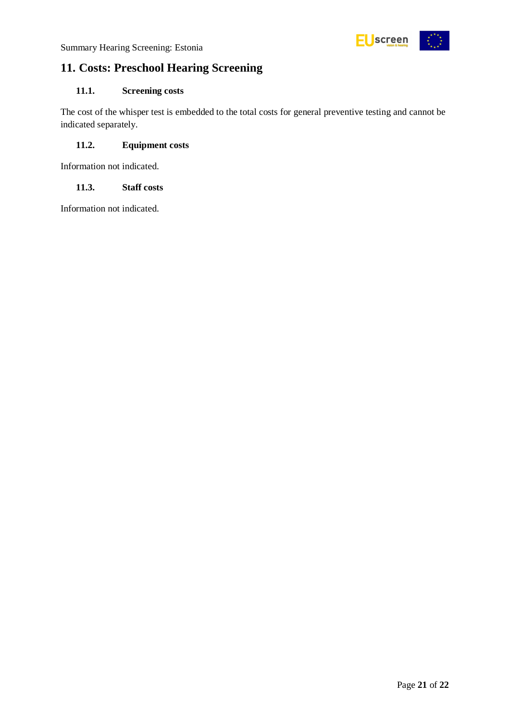

## <span id="page-20-0"></span>**11. Costs: Preschool Hearing Screening**

#### <span id="page-20-1"></span>**11.1. Screening costs**

The cost of the whisper test is embedded to the total costs for general preventive testing and cannot be indicated separately.

#### <span id="page-20-2"></span>**11.2. Equipment costs**

Information not indicated.

#### <span id="page-20-3"></span>**11.3. Staff costs**

Information not indicated.